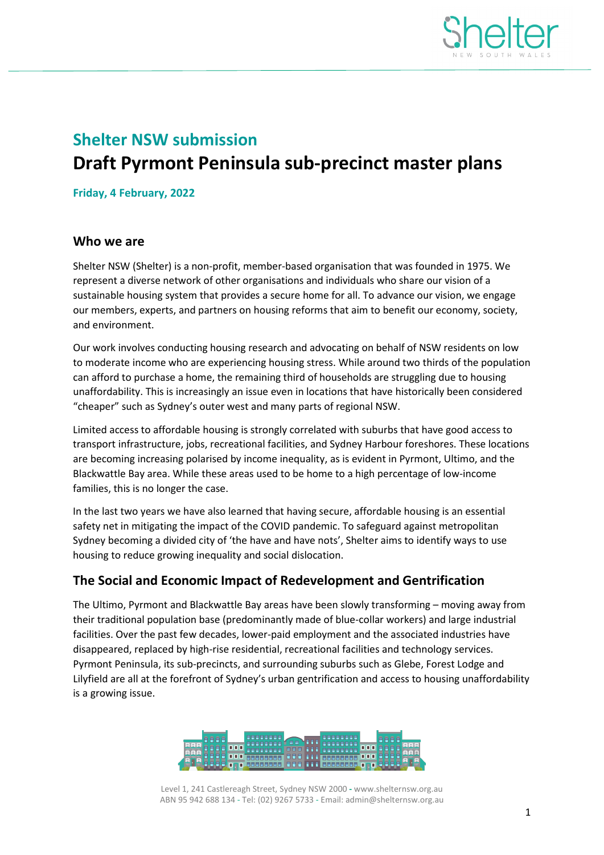

# **Shelter NSW submission Draft Pyrmont Peninsula sub-precinct master plans**

**Friday, 4 February, 2022**

#### **Who we are**

Shelter NSW (Shelter) is a non-profit, member-based organisation that was founded in 1975. We represent a diverse network of other organisations and individuals who share our vision of a sustainable housing system that provides a secure home for all. To advance our vision, we engage our members, experts, and partners on housing reforms that aim to benefit our economy, society, and environment.

Our work involves conducting housing research and advocating on behalf of NSW residents on low to moderate income who are experiencing housing stress. While around two thirds of the population can afford to purchase a home, the remaining third of households are struggling due to housing unaffordability. This is increasingly an issue even in locations that have historically been considered "cheaper" such as Sydney's outer west and many parts of regional NSW.

Limited access to affordable housing is strongly correlated with suburbs that have good access to transport infrastructure, jobs, recreational facilities, and Sydney Harbour foreshores. These locations are becoming increasing polarised by income inequality, as is evident in Pyrmont, Ultimo, and the Blackwattle Bay area. While these areas used to be home to a high percentage of low-income families, this is no longer the case.

In the last two years we have also learned that having secure, affordable housing is an essential safety net in mitigating the impact of the COVID pandemic. To safeguard against metropolitan Sydney becoming a divided city of 'the have and have nots', Shelter aims to identify ways to use housing to reduce growing inequality and social dislocation.

#### **The Social and Economic Impact of Redevelopment and Gentrification**

The Ultimo, Pyrmont and Blackwattle Bay areas have been slowly transforming – moving away from their traditional population base (predominantly made of blue-collar workers) and large industrial facilities. Over the past few decades, lower-paid employment and the associated industries have disappeared, replaced by high-rise residential, recreational facilities and technology services. Pyrmont Peninsula, its sub-precincts, and surrounding suburbs such as Glebe, Forest Lodge and Lilyfield are all at the forefront of Sydney's urban gentrification and access to housing unaffordability is a growing issue.



Level 1, 241 Castlereagh Street, Sydney NSW 2000 **-** www.shelternsw.org.au ABN 95 942 688 134 - Tel: (02) 9267 5733 - Email: admin@shelternsw.org.au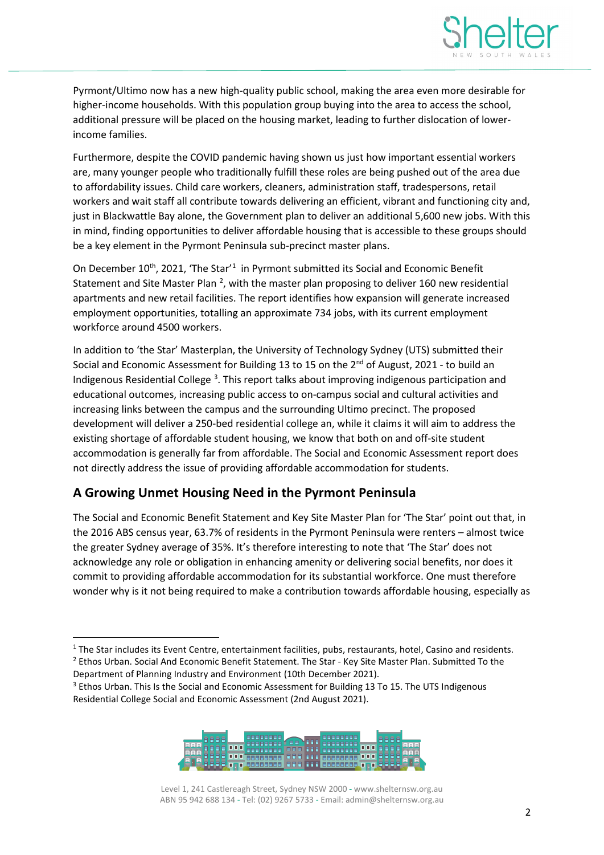

Pyrmont/Ultimo now has a new high-quality public school, making the area even more desirable for higher-income households. With this population group buying into the area to access the school, additional pressure will be placed on the housing market, leading to further dislocation of lowerincome families.

Furthermore, despite the COVID pandemic having shown us just how important essential workers are, many younger people who traditionally fulfill these roles are being pushed out of the area due to affordability issues. Child care workers, cleaners, administration staff, tradespersons, retail workers and wait staff all contribute towards delivering an efficient, vibrant and functioning city and, just in Blackwattle Bay alone, the Government plan to deliver an additional 5,600 new jobs. With this in mind, finding opportunities to deliver affordable housing that is accessible to these groups should be a key element in the Pyrmont Peninsula sub-precinct master plans.

On December [1](#page-1-0)0<sup>th</sup>, 2021, 'The Star'<sup>1</sup> in Pyrmont submitted its Social and Economic Benefit Statement and Site Master Plan  $^2$  $^2$ , with the master plan proposing to deliver 160 new residential apartments and new retail facilities. The report identifies how expansion will generate increased employment opportunities, totalling an approximate 734 jobs, with its current employment workforce around 4500 workers.

In addition to 'the Star' Masterplan, the University of Technology Sydney (UTS) submitted their Social and Economic Assessment for Building 13 to 15 on the 2<sup>nd</sup> of August, 2021 - to build an Indigenous Residential College<sup>[3](#page-1-2)</sup>. This report talks about improving indigenous participation and educational outcomes, increasing public access to on-campus social and cultural activities and increasing links between the campus and the surrounding Ultimo precinct. The proposed development will deliver a 250-bed residential college an, while it claims it will aim to address the existing shortage of affordable student housing, we know that both on and off-site student accommodation is generally far from affordable. The Social and Economic Assessment report does not directly address the issue of providing affordable accommodation for students.

# **A Growing Unmet Housing Need in the Pyrmont Peninsula**

The Social and Economic Benefit Statement and Key Site Master Plan for 'The Star' point out that, in the 2016 ABS census year, 63.7% of residents in the Pyrmont Peninsula were renters – almost twice the greater Sydney average of 35%. It's therefore interesting to note that 'The Star' does not acknowledge any role or obligation in enhancing amenity or delivering social benefits, nor does it commit to providing affordable accommodation for its substantial workforce. One must therefore wonder why is it not being required to make a contribution towards affordable housing, especially as

<span id="page-1-2"></span><sup>&</sup>lt;sup>3</sup> Ethos Urban. This Is the Social and Economic Assessment for Building 13 To 15. The UTS Indigenous Residential College Social and Economic Assessment (2nd August 2021).



Level 1, 241 Castlereagh Street, Sydney NSW 2000 **-** www.shelternsw.org.au ABN 95 942 688 134 - Tel: (02) 9267 5733 - Email: admin@shelternsw.org.au

<span id="page-1-1"></span><span id="page-1-0"></span> $1$  The Star includes its Event Centre, entertainment facilities, pubs, restaurants, hotel, Casino and residents. <sup>2</sup> Ethos Urban. Social And Economic Benefit Statement. The Star - Key Site Master Plan. Submitted To the Department of Planning Industry and Environment (10th December 2021).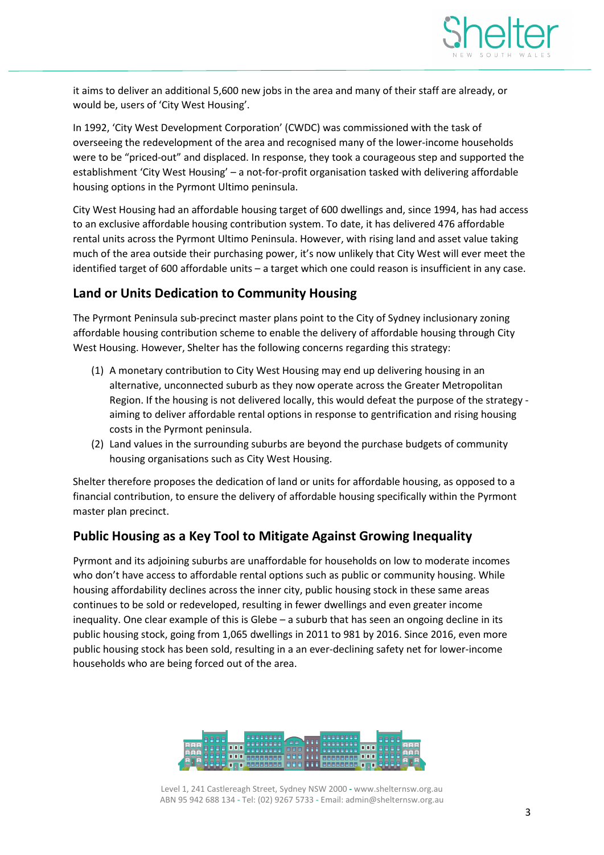

it aims to deliver an additional 5,600 new jobs in the area and many of their staff are already, or would be, users of 'City West Housing'.

In 1992, 'City West Development Corporation' (CWDC) was commissioned with the task of overseeing the redevelopment of the area and recognised many of the lower-income households were to be "priced-out" and displaced. In response, they took a courageous step and supported the establishment 'City West Housing' – a not-for-profit organisation tasked with delivering affordable housing options in the Pyrmont Ultimo peninsula.

City West Housing had an affordable housing target of 600 dwellings and, since 1994, has had access to an exclusive affordable housing contribution system. To date, it has delivered 476 affordable rental units across the Pyrmont Ultimo Peninsula. However, with rising land and asset value taking much of the area outside their purchasing power, it's now unlikely that City West will ever meet the identified target of 600 affordable units – a target which one could reason is insufficient in any case.

# **Land or Units Dedication to Community Housing**

The Pyrmont Peninsula sub-precinct master plans point to the City of Sydney inclusionary zoning affordable housing contribution scheme to enable the delivery of affordable housing through City West Housing. However, Shelter has the following concerns regarding this strategy:

- (1) A monetary contribution to City West Housing may end up delivering housing in an alternative, unconnected suburb as they now operate across the Greater Metropolitan Region. If the housing is not delivered locally, this would defeat the purpose of the strategy aiming to deliver affordable rental options in response to gentrification and rising housing costs in the Pyrmont peninsula.
- (2) Land values in the surrounding suburbs are beyond the purchase budgets of community housing organisations such as City West Housing.

Shelter therefore proposes the dedication of land or units for affordable housing, as opposed to a financial contribution, to ensure the delivery of affordable housing specifically within the Pyrmont master plan precinct.

# **Public Housing as a Key Tool to Mitigate Against Growing Inequality**

Pyrmont and its adjoining suburbs are unaffordable for households on low to moderate incomes who don't have access to affordable rental options such as public or community housing. While housing affordability declines across the inner city, public housing stock in these same areas continues to be sold or redeveloped, resulting in fewer dwellings and even greater income inequality. One clear example of this is Glebe – a suburb that has seen an ongoing decline in its public housing stock, going from 1,065 dwellings in 2011 to 981 by 2016. Since 2016, even more public housing stock has been sold, resulting in a an ever-declining safety net for lower-income households who are being forced out of the area.



Level 1, 241 Castlereagh Street, Sydney NSW 2000 **-** www.shelternsw.org.au ABN 95 942 688 134 - Tel: (02) 9267 5733 - Email: admin@shelternsw.org.au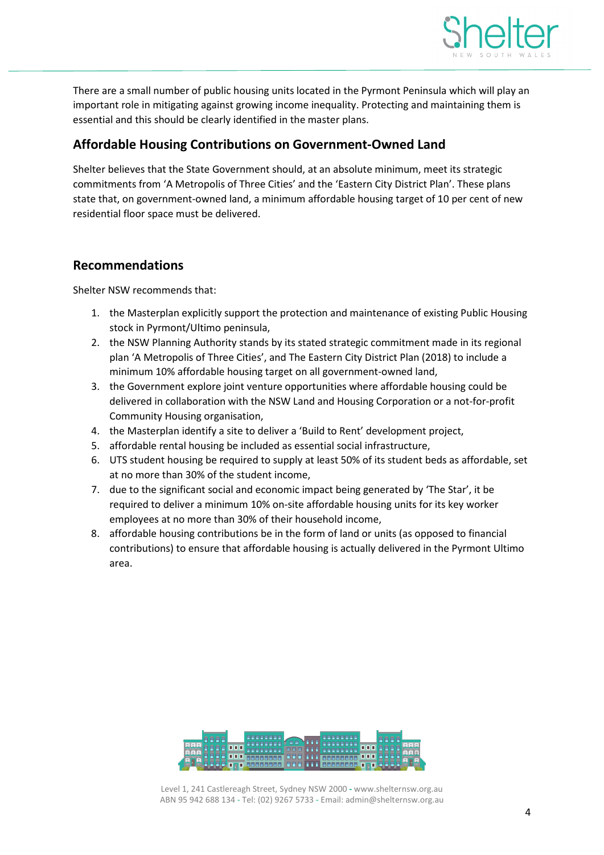

There are a small number of public housing units located in the Pyrmont Peninsula which will play an important role in mitigating against growing income inequality. Protecting and maintaining them is essential and this should be clearly identified in the master plans.

# **Affordable Housing Contributions on Government-Owned Land**

Shelter believes that the State Government should, at an absolute minimum, meet its strategic commitments from 'A Metropolis of Three Cities' and the 'Eastern City District Plan'. These plans state that, on government-owned land, a minimum affordable housing target of 10 per cent of new residential floor space must be delivered.

#### **Recommendations**

Shelter NSW recommends that:

- 1. the Masterplan explicitly support the protection and maintenance of existing Public Housing stock in Pyrmont/Ultimo peninsula,
- 2. the NSW Planning Authority stands by its stated strategic commitment made in its regional plan 'A Metropolis of Three Cities', and The Eastern City District Plan (2018) to include a minimum 10% affordable housing target on all government-owned land,
- 3. the Government explore joint venture opportunities where affordable housing could be delivered in collaboration with the NSW Land and Housing Corporation or a not-for-profit Community Housing organisation,
- 4. the Masterplan identify a site to deliver a 'Build to Rent' development project,
- 5. affordable rental housing be included as essential social infrastructure,
- 6. UTS student housing be required to supply at least 50% of its student beds as affordable, set at no more than 30% of the student income,
- 7. due to the significant social and economic impact being generated by 'The Star', it be required to deliver a minimum 10% on-site affordable housing units for its key worker employees at no more than 30% of their household income,
- 8. affordable housing contributions be in the form of land or units (as opposed to financial contributions) to ensure that affordable housing is actually delivered in the Pyrmont Ultimo area.

| 'nan |               | ÷<br><b>TEEE FRA</b> | <b>A BRARRERE</b>  | пп         |  |
|------|---------------|----------------------|--------------------|------------|--|
|      |               | <b>GRR ARA</b>       | <b>MERRERE OOK</b> |            |  |
|      | <b>RABBER</b> |                      | <b>MURRERA</b>     | <b>TET</b> |  |

Level 1, 241 Castlereagh Street, Sydney NSW 2000 **-** www.shelternsw.org.au ABN 95 942 688 134 - Tel: (02) 9267 5733 - Email: admin@shelternsw.org.au